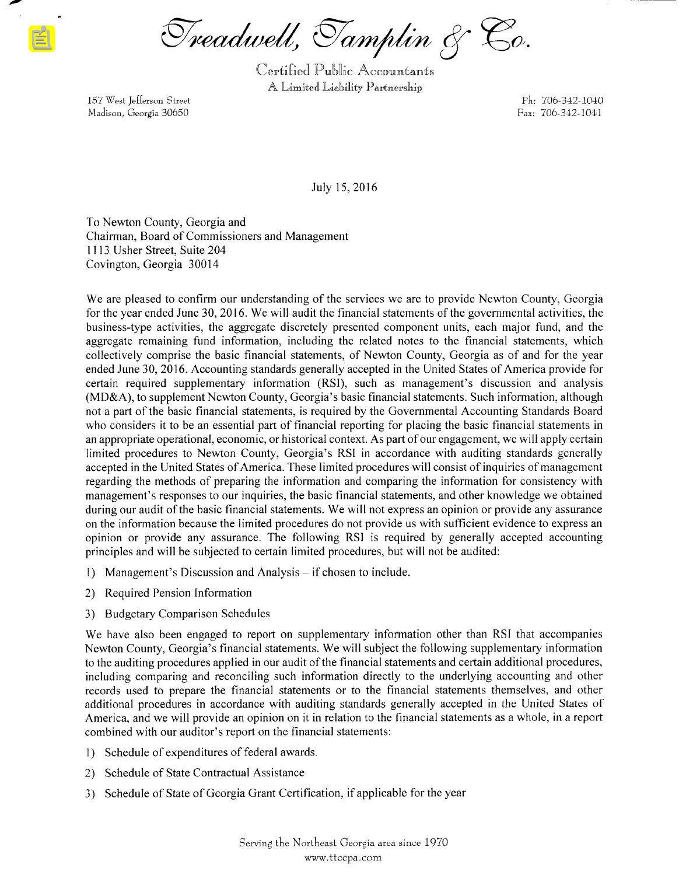Treadwell, Tamplin & Co.

Certified Public Accountants A Limited Liahility Partnership

157 West Jefferson Street Ph: 706- 342- 1040 Madison, Georgia 30650 Pax: 706-342-1041

July 15, 2016

To Newton County, Georgia and Chairman, Board of Commissioners and Management 1113 Usher Street, Suite 204 Covington, Georgia 30014

We are pleased to confirm our understanding of the services we are to provide Newton County, Georgia for the year ended June 30, 2016. We will audit the financial statements of the governmental activities, the business- type activities, the aggregate discretely presented component units, each major fund, and the aggregate remaining fund information, including the related notes to the financial statements, which collectively comprise the basic financial statements, of Newton County, Georgia as of and for the year ended June 30, 2016. Accounting standards generally accepted in the United States of America provide for certain required supplementary information (RSI), such as management's discussion and analysis MD& A), to supplement Newton County, Georgia' <sup>s</sup> basic financial statements. Such information, although not <sup>a</sup> part of the basic financial statements, is required by the Governmental Accounting Standards Board who considers it to be an essential part of financial reporting for placing the basic financial statements in an appropriate operational, economic, or historical context. As part of our engagement, we will apply certain limited procedures to Newton County, Georgia's RSI in accordance with auditing standards generally accepted in the United States of America. These limited procedures will consist of inquiries of management regarding the methods of preparing the information and comparing the information for consistency with management's responses to our inquiries, the basic financial statements, and other knowledge we obtained during our audit of the basic financial statements. We will not express an opinion or provide any assurance on the information because the limited procedures do not provide us with sufficient evidence to express an opinion or provide any assurance. The following RSI is required by generally accepted accounting principles and will be subjected to certain limited procedures, but will not be audited:

- 1) Management's Discussion and Analysis if chosen to include.
- 2) Required Pension Information
- 3) Budgetary Comparison Schedules

We have also been engaged to report on supplementary information other than RSI that accompanies Newton County, Georgia's financial statements. We will subject the following supplementary information to the auditing procedures applied in our audit ofthe financial statements and certain additional procedures, including comparing and reconciling such information directly to the underlying accounting and other records used to prepare the financial statements or to the financial statements themselves, and other additional procedures in accordance with auditing standards generally accepted in the United States of America, and we will provide an opinion on it in relation to the financial statements as <sup>a</sup> whole, in <sup>a</sup> report combined with our auditor's report on the financial statements:

- 1) Schedule of expenditures of federal awards.
- 2) Schedule of State Contractual Assistance
- 3) Schedule of State of Georgia Grant Certification, if applicable for the year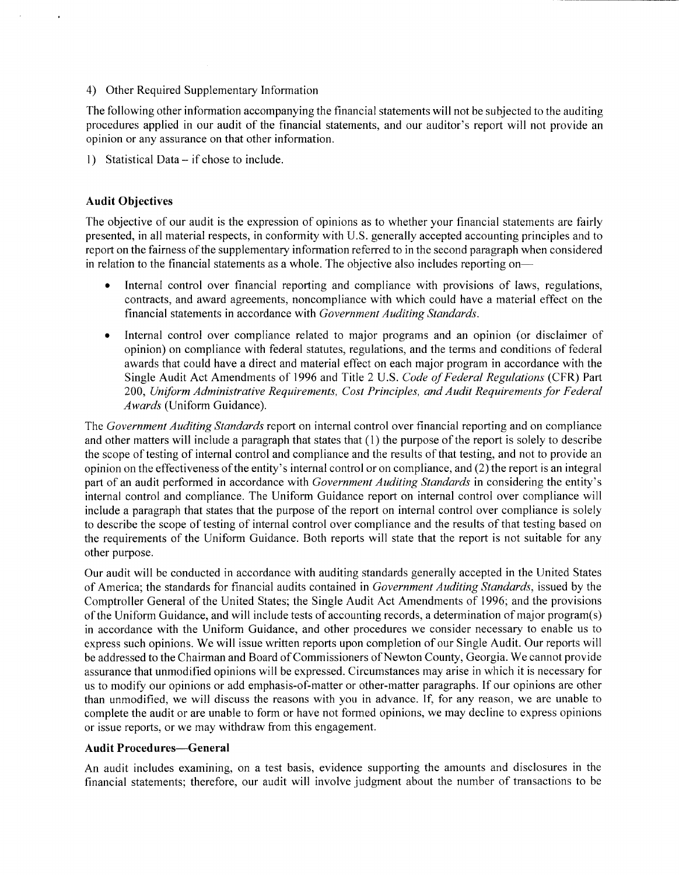## 4) Other Required Supplementary Information

The following other information accompanying the financial statements will not be subjected to the auditing procedures applied in our audit of the financial statements, and our auditor's report will not provide an opinion or any assurance on that other information.

1) Statistical Data– if chose to include.

# Audit Objectives

The objective of our audit is the expression of opinions as to whether your financial statements are fairly presented, in all material respects, in conformity with U. S. generally accepted accounting principles and to report on the fairness of the supplementary information referred to in the second paragraph when considered in relation to the financial statements as a whole. The objective also includes reporting on-

- $\bullet$ Internal control over financial reporting and compliance with provisions of laws, regulations, contracts, and award agreements, noncompliance with which could have a material effect on the financial statements in accordance with Government Auditing Standards.
- $\bullet$ Internal control over compliance related to major programs and an opinion (or disclaimer of opinion) on compliance with federal statutes, regulations, and the terms and conditions of federal awards that could have a direct and material effect on each major program in accordance with the Single Audit Act Amendments of 1996 and Title 2 U.S. Code of Federal Regulations (CFR) Part 200, Uniform Administrative Requirements, Cost Principles, and Audit Requirements for Federal Awards (Uniform Guidance).

The Government Auditing Standards report on internal control over financial reporting and on compliance and other matters will include a paragraph that states that (1) the purpose of the report is solely to describe the scope of testing of internal control and compliance and the results of that testing, and not to provide an opinion on the effectiveness of the entity's internal control or on compliance, and  $(2)$  the report is an integral part of an audit performed in accordance with Government Auditing Standards in considering the entity's internal control and compliance. The Uniform Guidance report on internal control over compliance will include <sup>a</sup> paragraph that states that the purpose of the report on internal control over compliance is solely to describe the scope of testing of internal control over compliance and the results of that testing based on the requirements of the Uniform Guidance. Both reports will state that the report is not suitable for any other purpose.

Our audit will be conducted in accordance with auditing standards generally accepted in the United States of America; the standards for financial audits contained in Government Auditing Standards, issued by the Comptroller General of the United States; the Single Audit Act Amendments of 1996; and the provisions of the Uniform Guidance, and will include tests of accounting records, <sup>a</sup> determination of major program( s) in accordance with the Uniform Guidance, and other procedures we consider necessary to enable us to express such opinions. We will issue written reports upon completion of our Single Audit. Our reports will be addressed to the Chairman and Board of Commissioners of Newton County, Georgia. We cannot provide assurance that unmodified opinions will be expressed. Circumstances may arise in which it is necessary for us to modify our opinions or add emphasis-of-matter or other-matter paragraphs. If our opinions are other than unmodified, we will discuss the reasons with you in advance. If, for any reason, we are unable to complete the audit or are unable to form or have not formed opinions, we may decline to express opinions or issue reports, or we may withdraw from this engagement.

# Audit Procedures— General

An audit includes examining, on a test basis, evidence supporting the amounts and disclosures in the financial statements; therefore, our audit will involve judgment about the number of transactions to be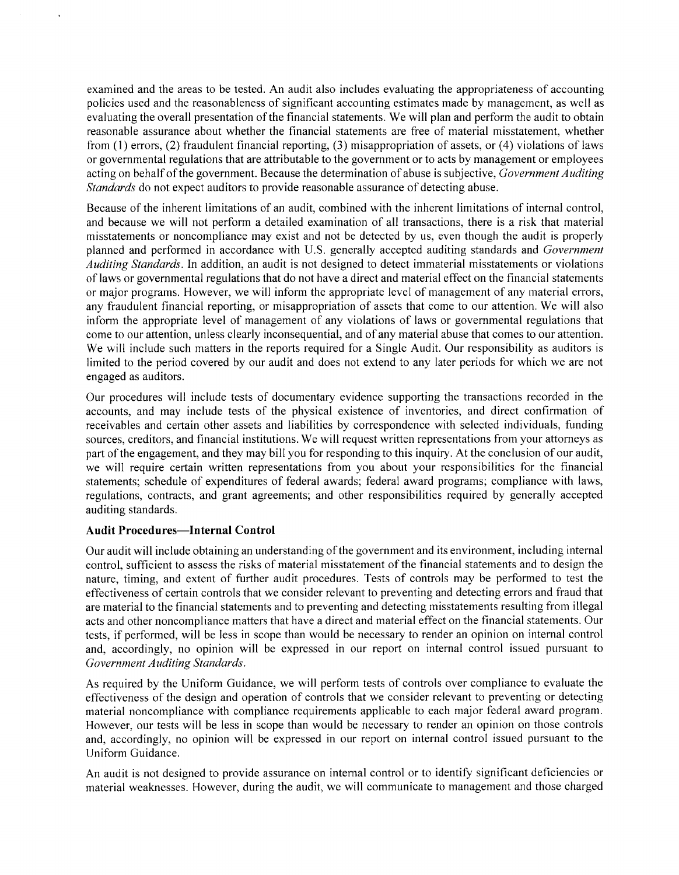examined and the areas to be tested. An audit also includes evaluating the appropriateness of accounting policies used and the reasonableness of significant accounting estimates made by management, as well as evaluating the overall presentation of the financial statements. We will plan and perform the audit to obtain reasonable assurance about whether the financial statements are free of material misstatement, whether from  $(1)$  errors,  $(2)$  fraudulent financial reporting,  $(3)$  misappropriation of assets, or  $(4)$  violations of laws or governmental regulations that are attributable to the government or to acts by management or employees acting on behalf of the government. Because the determination of abuse is subjective, Government Auditing Standards do not expect auditors to provide reasonable assurance of detecting abuse.

Because of the inherent limitations of an audit, combined with the inherent limitations of internal control, and because we will not perform <sup>a</sup> detailed examination of all transactions, there is <sup>a</sup> risk that material misstatements or noncompliance may exist and not be detected by us, even though the audit is properly planned and performed in accordance with U.S. generally accepted auditing standards and Government Auditing Standards. In addition, an audit is not designed to detect immaterial misstatements or violations of laws or governmental regulations that do not have <sup>a</sup> direct and material effect on the financial statements or major programs. However, we will inform the appropriate level of management of any material errors, any fraudulent financial reporting, or misappropriation of assets that come to our attention. We will also inform the appropriate level of management of any violations of laws or governmental regulations that come to our attention, unless clearly inconsequential, and of any material abuse that comes to our attention. We will include such matters in the reports required for <sup>a</sup> Single Audit. Our responsibility as auditors is limited to the period covered by our audit and does not extend to any later periods for which we are not engaged as auditors.

Our procedures will include tests of documentary evidence supporting the transactions recorded in the accounts, and may include tests of the physical existence of inventories, and direct confirmation of receivables and certain other assets and liabilities by correspondence with selected individuals, funding sources, creditors, and financial institutions. We will request written representations from your attorneys as part of the engagement, and they may bill you for responding to this inquiry. At the conclusion of our audit, we will require certain written representations from you about your responsibilities for the financial statements; schedule of expenditures of federal awards; federal award programs; compliance with laws, regulations, contracts, and grant agreements; and other responsibilities required by generally accepted auditing standards.

# Audit Procedures—Internal Control

Our audit will include obtaining an understanding ofthe government and its environment, including internal control, sufficient to assess the risks of material misstatement of the financial statements and to design the nature, timing, and extent of further audit procedures. Tests of controls may be performed to test the effectiveness of certain controls that we consider relevant to preventing and detecting errors and fraud that are material to the financial statements and to preventing and detecting misstatements resulting from illegal acts and other noncompliance matters that have a direct and material effect on the financial statements. Our tests, if performed, will be less in scope than would be necessary to render an opinion on internal control and, accordingly, no opinion will be expressed in our report on internal control issued pursuant to Government Auditing Standards.

As required by the Uniform Guidance, we will perform tests of controls over compliance to evaluate the effectiveness of the design and operation of controls that we consider relevant to preventing or detecting material noncompliance with compliance requirements applicable to each major federal award program. However, our tests will be less in scope than would be necessary to render an opinion on those controls and, accordingly, no opinion will be expressed in our report on internal control issued pursuant to the Uniform Guidance.

An audit is not designed to provide assurance on internal control or to identify significant deficiencies or material weaknesses. However, during the audit, we will communicate to management and those charged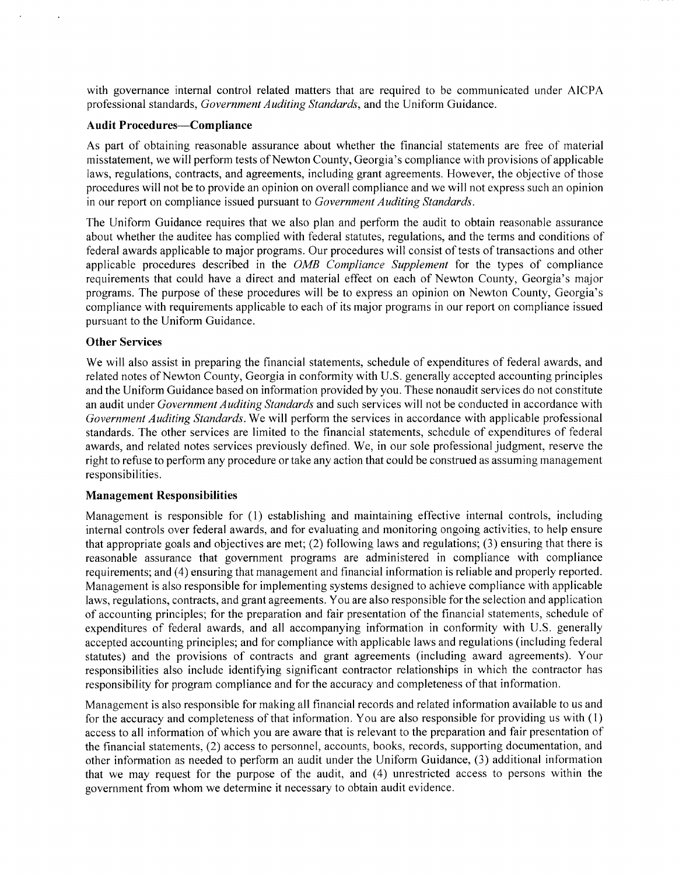with governance internal control related matters that are required to be communicated under AICPA professional standards, Government Auditing Standards, and the Uniform Guidance.

#### Audit Procedures— Compliance

As part of obtaining reasonable assurance about whether the financial statements are free of material misstatement, we will perform tests of Newton County, Georgia's compliance with provisions of applicable laws, regulations, contracts, and agreements, including grant agreements. However, the objective of those procedures will not be to provide an opinion on overall compliance and we will not express such an opinion in our report on compliance issued pursuant to Government Auditing Standards.

The Uniform Guidance requires that we also plan and perform the audit to obtain reasonable assurance about whether the auditee has complied with federal statutes, regulations, and the terms and conditions of federal awards applicable to major programs. Our procedures will consist of tests of transactions and other applicable procedures described in the OMB Compliance Supplement for the types of compliance requirements that could have a direct and material effect on each of Newton County, Georgia's major programs. The purpose of these procedures will be to express an opinion on Newton County, Georgia's compliance with requirements applicable to each of its major programs in our report on compliance issued pursuant to the Uniform Guidance.

## Other Services

We will also assist in preparing the financial statements, schedule of expenditures of federal awards, and related notes of Newton County, Georgia in conformity with U.S. generally accepted accounting principles and the Uniform Guidance based on information provided by you. These nonaudit services do not constitute an audit under Government Auditing Standards and such services will not be conducted in accordance with Government Auditing Standards. We will perform the services in accordance with applicable professional standards. The other services are limited to the financial statements, schedule of expenditures of federal awards, and related notes services previously defined. We, in our sole professional judgment, reserve the right to refuse to perform any procedure or take any action that could be construed as assuming management responsibilities.

## Management Responsibilities

Management is responsible for ( 1) establishing and maintaining effective internal controls, including internal controls over federal awards, and for evaluating and monitoring ongoing activities, to help ensure that appropriate goals and objectives are met;  $(2)$  following laws and regulations;  $(3)$  ensuring that there is reasonable assurance that government programs are administered in compliance with compliance requirements; and (4) ensuring that management and financial information is reliable and properly reported. Management is also responsible for implementing systems designed to achieve compliance with applicable laws, regulations, contracts, and grant agreements. You are also responsible for the selection and application of accounting principles; for the preparation and fair presentation of the financial statements, schedule of expenditures of federal awards, and all accompanying information in conformity with U.S. generally accepted accounting principles; and for compliance with applicable laws and regulations( including federal statutes) and the provisions of contracts and grant agreements ( including award agreements). Your responsibilities also include identifying significant contractor relationships in which the contractor has responsibility for program compliance and for the accuracy and completeness ofthat information.

Management is also responsible for making all financial records and related information available to us and for the accuracy and completeness of that information. You are also responsible for providing us with ( 1) access to all information of which you are aware that is relevant to the preparation and fair presentation of the financial statements, (2) access to personnel, accounts, books, records, supporting documentation, and other information as needed to perform an audit under the Uniform Guidance, (3) additional information that we may request for the purpose of the audit, and (4) unrestricted access to persons within the government from whom we determine it necessary to obtain audit evidence.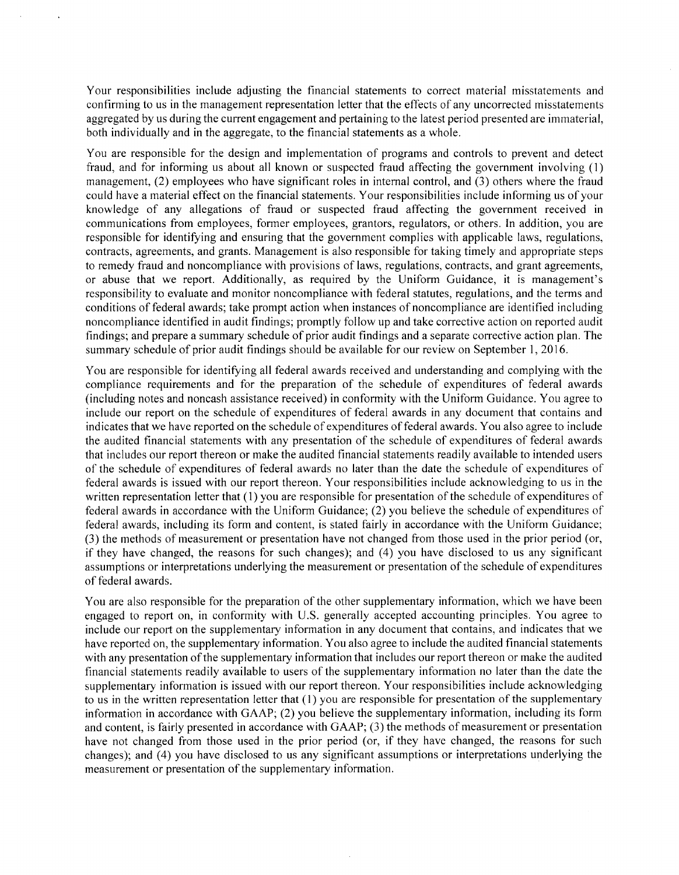Your responsibilities include adjusting the financial statements to correct material misstatements and confirming to us in the management representation letter that the effects of any uncorrected misstatements aggregated by us during the current engagement and pertaining to the latest period presented are immaterial, both individually and in the aggregate, to the financial statements as a whole.

You are responsible for the design and implementation of programs and controls to prevent and detect fraud, and for informing us about all known or suspected fraud affecting the government involving ( 1) management, (2) employees who have significant roles in internal control, and (3) others where the fraud could have <sup>a</sup> material effect on the financial statements. Your responsibilities include informing us of your knowledge of any allegations of fraud or suspected fraud affecting the government received in communications from employees, former employees, grantors, regulators, or others. In addition, you are responsible for identifying and ensuring that the government complies with applicable laws, regulations, contracts, agreements, and grants. Management is also responsible for taking timely and appropriate steps to remedy fraud and noncompliance with provisions of laws, regulations, contracts, and grant agreements, or abuse that we report. Additionally, as required by the Uniform Guidance, it is management's responsibility to evaluate and monitor noncompliance with federal statutes, regulations, and the terms and conditions of federal awards; take prompt action when instances of noncompliance are identified including noncompliance identified in audit findings; promptly follow up and take corrective action on reported audit findings; and prepare <sup>a</sup> summary schedule of prior audit findings and <sup>a</sup> separate corrective action plan. The summary schedule of prior audit findings should be available for our review on September 1, 2016.

You are responsible for identifying all federal awards received and understanding and complying with the compliance requirements and for the preparation of the schedule of expenditures of federal awards including notes and noncash assistance received) in conformity with the Uniform Guidance. You agree to include our report on the schedule of expenditures of federal awards in any document that contains and indicates that we have reported on the schedule of expenditures of federal awards. You also agree to include the audited financial statements with any presentation of the schedule of expenditures of federal awards that includes our report thereon or make the audited financial statements readily available to intended users of the schedule of expenditures of federal awards no later than the date the schedule of expenditures of federal awards is issued with our report thereon. Your responsibilities include acknowledging to us in the written representation letter that (1) you are responsible for presentation of the schedule of expenditures of federal awards in accordance with the Uniform Guidance; ( 2) you believe the schedule of expenditures of federal awards, including its form and content, is stated fairly in accordance with the Uniform Guidance; 3) the methods of measurement or presentation have not changed from those used in the prior period ( or, if they have changed, the reasons for such changes); and (4) you have disclosed to us any significant assumptions or interpretations underlying the measurement or presentation of the schedule of expenditures of federal awards.

You are also responsible for the preparation of the other supplementary information, which we have been engaged to report on, in conformity with U.S. generally accepted accounting principles. You agree to include our report on the supplementary information in any document that contains, and indicates that we have reported on, the supplementary information. You also agree to include the audited financial statements with any presentation of the supplementary information that includes our report thereon or make the audited financial statements readily available to users of the supplementary information no later than the date the supplementary information is issued with our report thereon. Your responsibilities include acknowledging to us in the written representation letter that (1) you are responsible for presentation of the supplementary information in accordance with GAAP; (2) you believe the supplementary information, including its form and content, is fairly presented in accordance with GAAP; ( 3) the methods of measurement or presentation have not changed from those used in the prior period (or, if they have changed, the reasons for such changes); and (4) you have disclosed to us any significant assumptions or interpretations underlying the measurement or presentation of the supplementary information.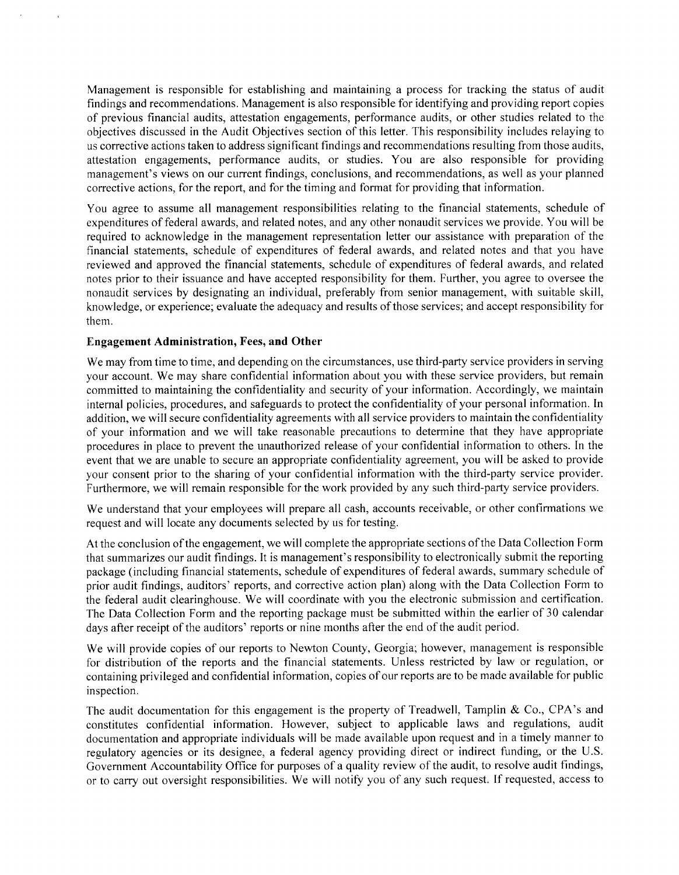Management is responsible for establishing and maintaining <sup>a</sup> process for tracking the status of audit findings and recommendations. Management is also responsible for identifying and providing report copies of previous financial audits, attestation engagements, performance audits, or other studies related to the objectives discussed in the Audit Objectives section of this letter. This responsibility includes relaying to us corrective actions taken to address significant findings and recommendations resulting from those audits, attestation engagements, performance audits, or studies. You are also responsible for providing management's views on our current findings, conclusions, and recommendations, as well as your planned corrective actions, for the report, and for the timing and format for providing that information.

You agree to assume all management responsibilities relating to the financial statements, schedule of expenditures of federal awards, and related notes, and any other nonaudit services we provide. You will be required to acknowledge in the management representation letter our assistance with preparation of the financial statements, schedule of expenditures of federal awards, and related notes and that you have reviewed and approved the financial statements, schedule of expenditures of federal awards, and related notes prior to their issuance and have accepted responsibility for them. Further, you agree to oversee the nonaudit services by designating an individual, preferably from senior management, with suitable skill, knowledge, or experience; evaluate the adequacy and results of those services; and accept responsibility for them.

## Engagement Administration, Fees, and Other

We may from time to time, and depending on the circumstances, use third-party service providers in serving your account. We may share confidential information about you with these service providers, but remain committed to maintaining the confidentiality and security of your information. Accordingly, we maintain internal policies, procedures, and safeguards to protect the confidentiality of your personal information. In addition, we will secure confidentiality agreements with all service providers to maintain the confidentiality of your information and we will take reasonable precautions to determine that they have appropriate procedures in place to prevent the unauthorized release of your confidential information to others. In the event that we are unable to secure an appropriate confidentiality agreement, you will be asked to provide your consent prior to the sharing of your confidential information with the third-party service provider. Furthermore, we will remain responsible for the work provided by any such third-party service providers.

We understand that your employees will prepare all cash, accounts receivable, or other confirmations we request and will locate any documents selected by us for testing.

At the conclusion of the engagement, we will complete the appropriate sections of the Data Collection Form that summarizes our audit findings. It is management's responsibility to electronically submit the reporting package ( including financial statements, schedule of expenditures of federal awards, summary schedule of prior audit findings, auditors' reports, and corrective action plan) along with the Data Collection Form to the federal audit clearinghouse. We will coordinate with you the electronic submission and certification. The Data Collection Form and the reporting package must be submitted within the earlier of 30 calendar days after receipt of the auditors' reports or nine months after the end of the audit period.

We will provide copies of our reports to Newton County, Georgia; however, management is responsible for distribution of the reports and the financial statements. Unless restricted by law or regulation, or containing privileged and confidential information, copies of our reports are to be made available for public inspection.

The audit documentation for this engagement is the property of Treadwell, Tamplin & Co., CPA's and constitutes confidential information. However, subject to applicable laws and regulations, audit documentation and appropriate individuals will be made available upon request and in <sup>a</sup> timely manner to regulatory agencies or its designee, a federal agency providing direct or indirect funding, or the U.S. Government Accountability Office for purposes of <sup>a</sup> quality review of the audit, to resolve audit findings, or to carry out oversight responsibilities. We will notify you of any such request. If requested, access to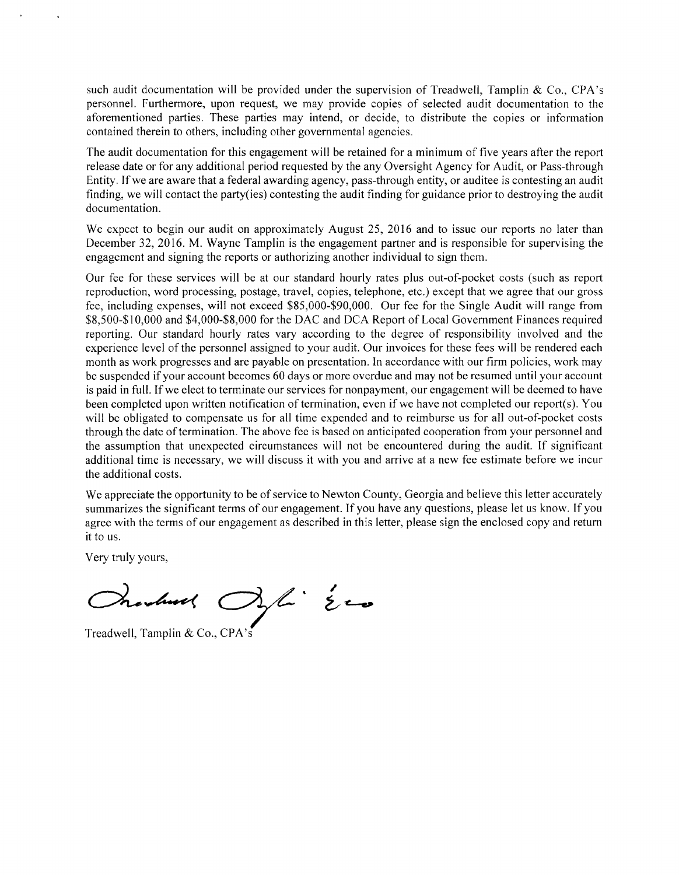such audit documentation will be provided under the supervision of Treadwell, Tamplin & Co., CPA's personnel. Furthermore, upon request, we may provide copies of selected audit documentation to the aforementioned parties. These parties may intend, or decide, to distribute the copies or information contained therein to others, including other governmental agencies.

The audit documentation for this engagement will be retained for <sup>a</sup> minimum of five years after the report release date or for any additional period requested by the any Oversight Agency for Audit, or Pass-through Entity. If we are aware that <sup>a</sup> federal awarding agency, pass- through entity, or auditee is contesting an audit finding, we will contact the party(ies) contesting the audit finding for guidance prior to destroying the audit documentation.

We expect to begin our audit on approximately August 25, 2016 and to issue our reports no later than December 32, 2016. M. Wayne Tamplin is the engagement partner and is responsible for supervising the engagement and signing the reports or authorizing another individual to sign them.

Our fee for these services will be at our standard hourly rates plus out-of-pocket costs ( such as report reproduction, word processing, postage, travel, copies, telephone, etc.) except that we agree that our gross fee, including expenses, will not exceed \$85,000-\$90,000. Our fee for the Single Audit will range from \$8,500-\$10,000 and \$4,000-\$8,000 for the DAC and DCA Report of Local Government Finances required reporting. Our standard hourly rates vary according to the degree of responsibility involved and the experience level of the personnel assigned to your audit. Our invoices for these fees will be rendered each month as work progresses and are payable on presentation. In accordance with our firm policies, work may be suspended ifyour account becomes <sup>60</sup> days or more overdue and may not be resumed until your account is paid in full. If we elect to terminate our services for nonpayment, our engagement will be deemed to have been completed upon written notification of termination, even if we have not completed our report( s). You will be obligated to compensate us for all time expended and to reimburse us for all out-of-pocket costs through the date of termination. The above fee is based on anticipated cooperation from your personnel and the assumption that unexpected circumstances will not be encountered during the audit. If significant additional time is necessary, we will discuss it with you and arrive at <sup>a</sup> new fee estimate before we incur the additional costs.

We appreciate the opportunity to be of service to Newton County, Georgia and believe this letter accurately summarizes the significant terms of our engagement. If you have any questions, please let us know. If you agree with the terms of our engagement as described in this letter, please sign the enclosed copy and return it to us.

Very truly yours,

 $3/4.50$ Oranbuck

Treadwell, Tamplin & Co., CPA's